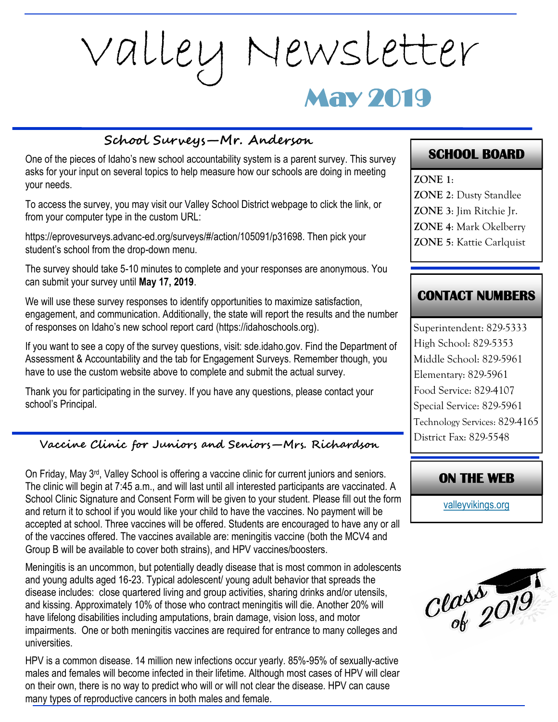# May 2019 Valley Newsletter

#### **School Surveys—Mr. Anderson**

One of the pieces of Idaho's new school accountability system is a parent survey. This survey asks for your input on several topics to help measure how our schools are doing in meeting your needs.

To access the survey, you may visit our Valley School District webpage to click the link, or from your computer type in the custom URL:

https://eprovesurveys.advanc-ed.org/surveys/#/action/105091/p31698. Then pick your student's school from the drop-down menu.

The survey should take 5-10 minutes to complete and your responses are anonymous. You can submit your survey until **May 17, 2019**.

We will use these survey responses to identify opportunities to maximize satisfaction, engagement, and communication. Additionally, the state will report the results and the number of responses on Idaho's new school report card (https://idahoschools.org).

If you want to see a copy of the survey questions, visit: sde.idaho.gov. Find the Department of Assessment & Accountability and the tab for Engagement Surveys. Remember though, you have to use the custom website above to complete and submit the actual survey.

Thank you for participating in the survey. If you have any questions, please contact your school's Principal.

#### **Vaccine Clinic for Juniors and Seniors—Mrs. Richardson**

On Friday, May  $3^{rd}$ , Valley School is offering a vaccine clinic for current juniors and seniors. The clinic will begin at 7:45 a.m., and will last until all interested participants are vaccinated. A School Clinic Signature and Consent Form will be given to your student. Please fill out the form and return it to school if you would like your child to have the vaccines. No payment will be accepted at school. Three vaccines will be offered. Students are encouraged to have any or all of the vaccines offered. The vaccines available are: meningitis vaccine (both the MCV4 and Group B will be available to cover both strains), and HPV vaccines/boosters.

Meningitis is an uncommon, but potentially deadly disease that is most common in adolescents and young adults aged 16-23. Typical adolescent/ young adult behavior that spreads the disease includes: close quartered living and group activities, sharing drinks and/or utensils, and kissing. Approximately 10% of those who contract meningitis will die. Another 20% will have lifelong disabilities including amputations, brain damage, vision loss, and motor impairments. One or both meningitis vaccines are required for entrance to many colleges and universities.

HPV is a common disease. 14 million new infections occur yearly. 85%-95% of sexually-active males and females will become infected in their lifetime. Although most cases of HPV will clear on their own, there is no way to predict who will or will not clear the disease. HPV can cause many types of reproductive cancers in both males and female.

# **SCHOOL BOARD**

**ZONE 1**: **ZONE 2**: Dusty Standlee

- **ZONE 3**: Jim Ritchie Jr.
- **ZONE 4**: Mark Okelberry
- **ZONE 5**: Kattie Carlquist

## **CONTACT NUMBERS**

Superintendent: 829-5333 High School: 829-5353 Middle School: 829-5961 Elementary: 829-5961 Food Service: 829-4107 Special Service: 829-5961 Technology Services: 829-4165 District Fax: 829-5548

#### **ON THE WEB**

[valleyvikings.org](http://www.valleyvikings.org/)

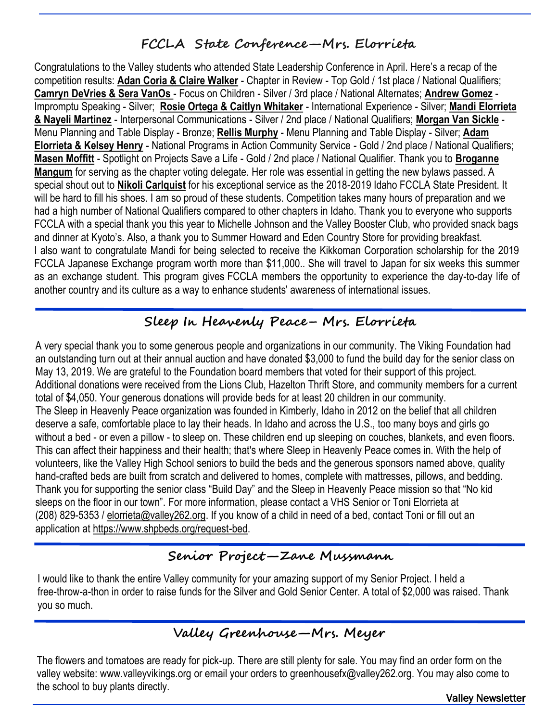# **FCCLA State Conference—Mrs. Elorrieta**

Congratulations to the Valley students who attended State Leadership Conference in April. Here's a recap of the competition results: **Adan Coria & Claire Walker** - Chapter in Review - Top Gold / 1st place / National Qualifiers; **Camryn DeVries & Sera VanOs** - Focus on Children - Silver / 3rd place / National Alternates; **Andrew Gomez** - Impromptu Speaking - Silver; **Rosie Ortega & Caitlyn Whitaker** - International Experience - Silver; **Mandi Elorrieta & Nayeli Martinez** - Interpersonal Communications - Silver / 2nd place / National Qualifiers; **Morgan Van Sickle** - Menu Planning and Table Display - Bronze; **Rellis Murphy** - Menu Planning and Table Display - Silver; **Adam Elorrieta & Kelsey Henry** - National Programs in Action Community Service - Gold / 2nd place / National Qualifiers; **Masen Moffitt** - Spotlight on Projects Save a Life - Gold / 2nd place / National Qualifier. Thank you to **Broganne Mangum** for serving as the chapter voting delegate. Her role was essential in getting the new bylaws passed. A special shout out to **Nikoli Carlquist** for his exceptional service as the 2018-2019 Idaho FCCLA State President. It will be hard to fill his shoes. I am so proud of these students. Competition takes many hours of preparation and we had a high number of National Qualifiers compared to other chapters in Idaho. Thank you to everyone who supports FCCLA with a special thank you this year to Michelle Johnson and the Valley Booster Club, who provided snack bags and dinner at Kyoto's. Also, a thank you to Summer Howard and Eden Country Store for providing breakfast. I also want to congratulate Mandi for being selected to receive the Kikkoman Corporation scholarship for the 2019 FCCLA Japanese Exchange program worth more than \$11,000.. She will travel to Japan for six weeks this summer as an exchange student. This program gives FCCLA members the opportunity to experience the day-to-day life of another country and its culture as a way to enhance students' awareness of international issues.

# **Sleep In Heavenly Peace– Mrs. Elorrieta**

A very special thank you to some generous people and organizations in our community. The Viking Foundation had an outstanding turn out at their annual auction and have donated \$3,000 to fund the build day for the senior class on May 13, 2019. We are grateful to the Foundation board members that voted for their support of this project. Additional donations were received from the Lions Club, Hazelton Thrift Store, and community members for a current total of \$4,050. Your generous donations will provide beds for at least 20 children in our community. The Sleep in Heavenly Peace organization was founded in Kimberly, Idaho in 2012 on the belief that all children deserve a safe, comfortable place to lay their heads. In Idaho and across the U.S., too many boys and girls go without a bed - or even a pillow - to sleep on. These children end up sleeping on couches, blankets, and even floors. This can affect their happiness and their health; that's where Sleep in Heavenly Peace comes in. With the help of volunteers, like the Valley High School seniors to build the beds and the generous sponsors named above, quality hand-crafted beds are built from scratch and delivered to homes, complete with mattresses, pillows, and bedding. Thank you for supporting the senior class "Build Day" and the Sleep in Heavenly Peace mission so that "No kid sleeps on the floor in our town". For more information, please contact a VHS Senior or Toni Elorrieta at (208) 829-5353 / [elorrieta@valley262.org.](mailto:elorrieta@valley262.org) If you know of a child in need of a bed, contact Toni or fill out an application at [https://www.shpbeds.org/request-bed.](https://www.shpbeds.org/request-bed)

# **Senior Project—Zane Mussmann**

I would like to thank the entire Valley community for your amazing support of my Senior Project. I held a free-throw-a-thon in order to raise funds for the Silver and Gold Senior Center. A total of \$2,000 was raised. Thank you so much.

# **Valley Greenhouse—Mrs. Meyer**

The flowers and tomatoes are ready for pick-up. There are still plenty for sale. You may find an order form on the valley website: www.valleyvikings.org or email your orders to greenhousefx@valley262.org. You may also come to the school to buy plants directly.

Valley Newsletter